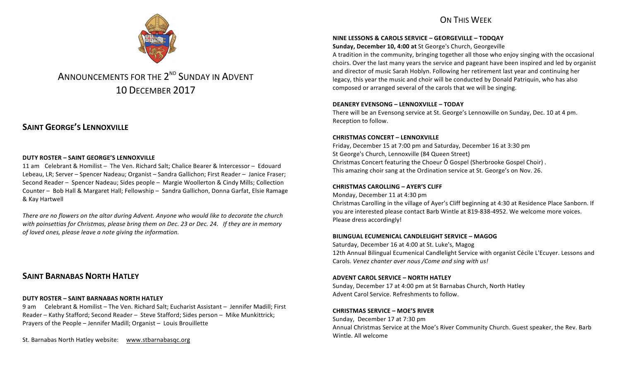## ON THIS WFFK



# ANNOUNCEMENTS FOR THE 2<sup>ND</sup> SUNDAY IN ADVENT 10 DECEMBER 2017

# **SAINT GEORGE'S LENNOXVILLE**

#### **DUTY ROSTER – SAINT GEORGE'S LENNOXVILLE**

11 am Celebrant & Homilist – The Ven. Richard Salt; Chalice Bearer & Intercessor – Edouard Lebeau, LR; Server – Spencer Nadeau; Organist – Sandra Gallichon; First Reader – Janice Fraser; Second Reader – Spencer Nadeau; Sides people – Margie Woollerton & Cindy Mills; Collection Counter – Bob Hall & Margaret Hall; Fellowship – Sandra Gallichon, Donna Garfat, Elsie Ramage & Kay Hartwell

There are no flowers on the altar during Advent. Anyone who would like to decorate the church with poinsettias for Christmas, please bring them on Dec. 23 or Dec. 24. If they are in memory of loved ones, please leave a note giving the information.

### **SAINT BARNABAS NORTH HATLEY**

#### **DUTY ROSTER – SAINT BARNABAS NORTH HATLEY**

9 am Celebrant & Homilist – The Ven. Richard Salt; Eucharist Assistant – Jennifer Madill; First Reader – Kathy Stafford; Second Reader – Steve Stafford; Sides person – Mike Munkittrick; Prayers of the People - Jennifer Madill; Organist - Louis Brouillette

St. Barnabas North Hatley website: www.stbarnabasqc.org

#### **NINE LESSONS & CAROLS SERVICE – GEORGEVILLE – TODQAY**

**Sunday, December 10, 4:00 at St George's Church, Georgeville** 

A tradition in the community, bringing together all those who enjoy singing with the occasional choirs. Over the last many years the service and pageant have been inspired and led by organist and director of music Sarah Hoblyn. Following her retirement last year and continuing her legacy, this year the music and choir will be conducted by Donald Patriquin, who has also composed or arranged several of the carols that we will be singing.

#### **DEANERY EVENSONG – LENNOXVILLE – TODAY**

There will be an Evensong service at St. George's Lennoxville on Sunday, Dec. 10 at 4 pm. Reception to follow.

#### **CHRISTMAS CONCERT – LENNOXVILLE**

Friday, December 15 at 7:00 pm and Saturday, December 16 at 3:30 pm St George's Church, Lennoxville (84 Queen Street) Christmas Concert featuring the Choeur Ô Gospel (Sherbrooke Gospel Choir). This amazing choir sang at the Ordination service at St. George's on Nov. 26.

#### **CHRISTMAS CAROLLING – AYER'S CLIFF**

Monday, December 11 at 4:30 pm Christmas Carolling in the village of Ayer's Cliff beginning at 4:30 at Residence Place Sanborn. If you are interested please contact Barb Wintle at 819-838-4952. We welcome more voices. Please dress accordingly!

#### **BILINGUAL ECUMENICAL CANDLELIGHT SERVICE – MAGOG**

Saturday, December 16 at 4:00 at St. Luke's, Magog 12th Annual Bilingual Ecumenical Candlelight Service with organist Cécile L'Ecuyer. Lessons and Carols. *Venez chanter aver nous* / Come and sing with us!

#### **ADVENT CAROL SERVICE – NORTH HATLEY**

Sunday, December 17 at 4:00 pm at St Barnabas Church, North Hatley Advent Carol Service. Refreshments to follow.

#### **CHRISTMAS SERVICE – MOE'S RIVER**

Sunday, December 17 at 7:30 pm Annual Christmas Service at the Moe's River Community Church. Guest speaker, the Rev. Barb Wintle. All welcome